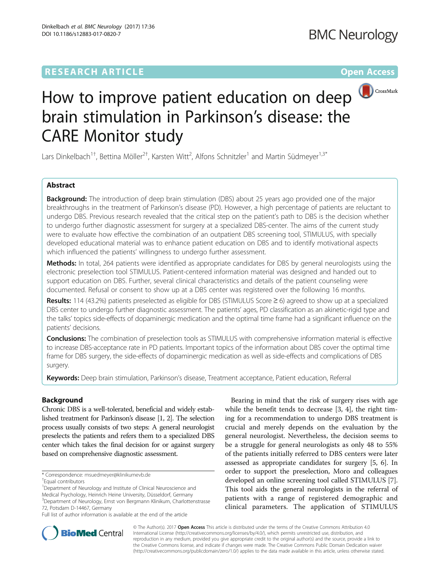# **RESEARCH ARTICLE Example 2014 12:30 The Contract of Contract ACCESS**



# How to improve patient education on deep **D**CrossMark brain stimulation in Parkinson's disease: the CARE Monitor study

Lars Dinkelbach<sup>1†</sup>, Bettina Möller<sup>2†</sup>, Karsten Witt<sup>2</sup>, Alfons Schnitzler<sup>1</sup> and Martin Südmeyer<sup>1,3\*</sup>

# Abstract

**Background:** The introduction of deep brain stimulation (DBS) about 25 years ago provided one of the major breakthroughs in the treatment of Parkinson's disease (PD). However, a high percentage of patients are reluctant to undergo DBS. Previous research revealed that the critical step on the patient's path to DBS is the decision whether to undergo further diagnostic assessment for surgery at a specialized DBS-center. The aims of the current study were to evaluate how effective the combination of an outpatient DBS screening tool, STIMULUS, with specially developed educational material was to enhance patient education on DBS and to identify motivational aspects which influenced the patients' willingness to undergo further assessment.

Methods: In total, 264 patients were identified as appropriate candidates for DBS by general neurologists using the electronic preselection tool STIMULUS. Patient-centered information material was designed and handed out to support education on DBS. Further, several clinical characteristics and details of the patient counseling were documented. Refusal or consent to show up at a DBS center was registered over the following 16 months.

Results: 114 (43.2%) patients preselected as eligible for DBS (STIMULUS Score  $\geq$  6) agreed to show up at a specialized DBS center to undergo further diagnostic assessment. The patients' ages, PD classification as an akinetic-rigid type and the talks' topics side-effects of dopaminergic medication and the optimal time frame had a significant influence on the patients' decisions.

Conclusions: The combination of preselection tools as STIMULUS with comprehensive information material is effective to increase DBS-acceptance rate in PD patients. Important topics of the information about DBS cover the optimal time frame for DBS surgery, the side-effects of dopaminergic medication as well as side-effects and complications of DBS surgery.

Keywords: Deep brain stimulation, Parkinson's disease, Treatment acceptance, Patient education, Referral

## Background

Chronic DBS is a well-tolerated, beneficial and widely established treatment for Parkinson's disease [\[1, 2](#page-5-0)]. The selection process usually consists of two steps: A general neurologist preselects the patients and refers them to a specialized DBS center which takes the final decision for or against surgery based on comprehensive diagnostic assessment.

<sup>1</sup>Department of Neurology and Institute of Clinical Neuroscience and Medical Psychology, Heinrich Heine University, Düsseldorf, Germany <sup>3</sup>Department of Neurology, Ernst von Bergmann Klinikum, Charlottenstrasse 72, Potsdam D-14467, Germany

Bearing in mind that the risk of surgery rises with age while the benefit tends to decrease [\[3, 4\]](#page-5-0), the right timing for a recommendation to undergo DBS treatment is crucial and merely depends on the evaluation by the general neurologist. Nevertheless, the decision seems to be a struggle for general neurologists as only 48 to 55% of the patients initially referred to DBS centers were later assessed as appropriate candidates for surgery [\[5](#page-5-0), [6](#page-5-0)]. In order to support the preselection, Moro and colleagues developed an online screening tool called STIMULUS [[7](#page-5-0)]. This tool aids the general neurologists in the referral of patients with a range of registered demographic and clinical parameters. The application of STIMULUS



© The Author(s). 2017 **Open Access** This article is distributed under the terms of the Creative Commons Attribution 4.0 International License [\(http://creativecommons.org/licenses/by/4.0/](http://creativecommons.org/licenses/by/4.0/)), which permits unrestricted use, distribution, and reproduction in any medium, provided you give appropriate credit to the original author(s) and the source, provide a link to the Creative Commons license, and indicate if changes were made. The Creative Commons Public Domain Dedication waiver [\(http://creativecommons.org/publicdomain/zero/1.0/](http://creativecommons.org/publicdomain/zero/1.0/)) applies to the data made available in this article, unless otherwise stated.

<sup>\*</sup> Correspondence: [msuedmeyer@klinikumevb.de](mailto:msuedmeyer@klinikumevb.de) †

Equal contributors

Full list of author information is available at the end of the article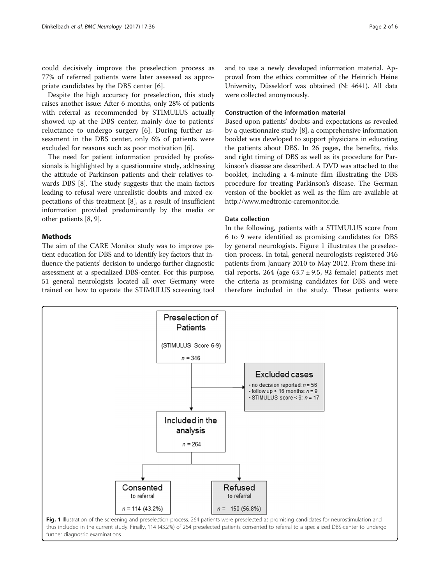could decisively improve the preselection process as 77% of referred patients were later assessed as appropriate candidates by the DBS center [[6\]](#page-5-0).

Despite the high accuracy for preselection, this study raises another issue: After 6 months, only 28% of patients with referral as recommended by STIMULUS actually showed up at the DBS center, mainly due to patients' reluctance to undergo surgery [\[6](#page-5-0)]. During further assessment in the DBS center, only 6% of patients were excluded for reasons such as poor motivation [[6\]](#page-5-0).

The need for patient information provided by professionals is highlighted by a questionnaire study, addressing the attitude of Parkinson patients and their relatives towards DBS [[8](#page-5-0)]. The study suggests that the main factors leading to refusal were unrealistic doubts and mixed expectations of this treatment [\[8\]](#page-5-0), as a result of insufficient information provided predominantly by the media or other patients [[8, 9](#page-5-0)].

#### **Methods**

The aim of the CARE Monitor study was to improve patient education for DBS and to identify key factors that influence the patients' decision to undergo further diagnostic assessment at a specialized DBS-center. For this purpose, 51 general neurologists located all over Germany were trained on how to operate the STIMULUS screening tool

and to use a newly developed information material. Approval from the ethics committee of the Heinrich Heine University, Düsseldorf was obtained (N: 4641). All data were collected anonymously.

### Construction of the information material

Based upon patients' doubts and expectations as revealed by a questionnaire study [\[8](#page-5-0)], a comprehensive information booklet was developed to support physicians in educating the patients about DBS. In 26 pages, the benefits, risks and right timing of DBS as well as its procedure for Parkinson's disease are described. A DVD was attached to the booklet, including a 4-minute film illustrating the DBS procedure for treating Parkinson's disease. The German version of the booklet as well as the film are available at [http://www.medtronic-caremonitor.de.](http://www.medtronic-caremonitor.de)

#### Data collection

In the following, patients with a STIMULUS score from 6 to 9 were identified as promising candidates for DBS by general neurologists. Figure 1 illustrates the preselection process. In total, general neurologists registered 346 patients from January 2010 to May 2012. From these initial reports,  $264$  (age  $63.7 \pm 9.5$ , 92 female) patients met the criteria as promising candidates for DBS and were therefore included in the study. These patients were

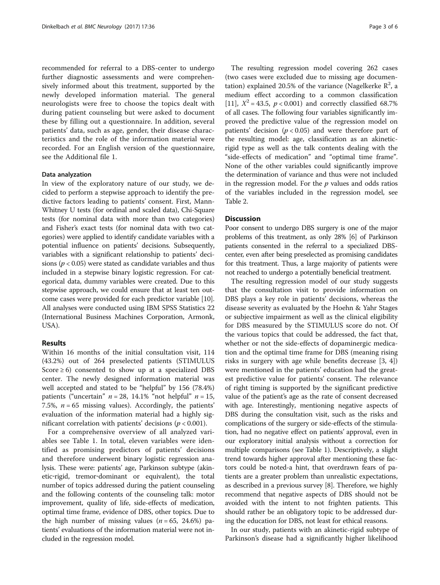recommended for referral to a DBS-center to undergo further diagnostic assessments and were comprehensively informed about this treatment, supported by the newly developed information material. The general neurologists were free to choose the topics dealt with during patient counseling but were asked to document these by filling out a questionnaire. In addition, several patients' data, such as age, gender, their disease characteristics and the role of the information material were recorded. For an English version of the questionnaire, see the Additional file [1](#page-4-0).

#### Data analyzation

In view of the exploratory nature of our study, we decided to perform a stepwise approach to identify the predictive factors leading to patients' consent. First, Mann-Whitney U tests (for ordinal and scaled data), Chi-Square tests (for nominal data with more than two categories) and Fisher's exact tests (for nominal data with two categories) were applied to identify candidate variables with a potential influence on patients' decisions. Subsequently, variables with a significant relationship to patients' decisions ( $p < 0.05$ ) were stated as candidate variables and thus included in a stepwise binary logistic regression. For categorical data, dummy variables were created. Due to this stepwise approach, we could ensure that at least ten outcome cases were provided for each predictor variable [[10](#page-5-0)]. All analyses were conducted using IBM SPSS Statistics 22 (International Business Machines Corporation, Armonk, USA).

#### Results

Within 16 months of the initial consultation visit, 114 (43.2%) out of 264 preselected patients (STIMULUS Score  $\geq 6$ ) consented to show up at a specialized DBS center. The newly designed information material was well accepted and stated to be "helpful" by 156 (78.4%) patients ("uncertain"  $n = 28$ , 14.1% "not helpful"  $n = 15$ , 7.5%,  $n = 65$  missing values). Accordingly, the patients' evaluation of the information material had a highly significant correlation with patients' decisions ( $p < 0.001$ ).

For a comprehensive overview of all analyzed variables see Table [1.](#page-3-0) In total, eleven variables were identified as promising predictors of patients' decisions and therefore underwent binary logistic regression analysis. These were: patients' age, Parkinson subtype (akinetic‐rigid, tremor‐dominant or equivalent), the total number of topics addressed during the patient counseling and the following contents of the counseling talk: motor improvement, quality of life, side-effects of medication, optimal time frame, evidence of DBS, other topics. Due to the high number of missing values  $(n = 65, 24.6%)$  patients' evaluations of the information material were not included in the regression model.

The resulting regression model covering 262 cases (two cases were excluded due to missing age documentation) explained 20.5% of the variance (Nagelkerke  $\mathbb{R}^2$ , a medium effect according to a common classification [[11\]](#page-5-0),  $X^2 = 43.5$ ,  $p < 0.001$ ) and correctly classified 68.7% of all cases. The following four variables significantly improved the predictive value of the regression model on patients' decision ( $p < 0.05$ ) and were therefore part of the resulting model: age, classification as an akineticrigid type as well as the talk contents dealing with the "side-effects of medication" and "optimal time frame". None of the other variables could significantly improve the determination of variance and thus were not included in the regression model. For the  $p$  values and odds ratios of the variables included in the regression model, see Table [2.](#page-4-0)

#### **Discussion**

Poor consent to undergo DBS surgery is one of the major problems of this treatment, as only 28% [[6](#page-5-0)] of Parkinson patients consented in the referral to a specialized DBScenter, even after being preselected as promising candidates for this treatment. Thus, a large majority of patients were not reached to undergo a potentially beneficial treatment.

The resulting regression model of our study suggests that the consultation visit to provide information on DBS plays a key role in patients' decisions, whereas the disease severity as evaluated by the Hoehn & Yahr Stages or subjective impairment as well as the clinical eligibility for DBS measured by the STIMULUS score do not. Of the various topics that could be addressed, the fact that, whether or not the side-effects of dopaminergic medication and the optimal time frame for DBS (meaning rising risks in surgery with age while benefits decrease [\[3](#page-5-0), [4](#page-5-0)]) were mentioned in the patients' education had the greatest predictive value for patients' consent. The relevance of right timing is supported by the significant predictive value of the patient's age as the rate of consent decreased with age. Interestingly, mentioning negative aspects of DBS during the consultation visit, such as the risks and complications of the surgery or side-effects of the stimulation, had no negative effect on patients' approval, even in our exploratory initial analysis without a correction for multiple comparisons (see Table [1\)](#page-3-0). Descriptively, a slight trend towards higher approval after mentioning these factors could be noted-a hint, that overdrawn fears of patients are a greater problem than unrealistic expectations, as described in a previous survey [\[8\]](#page-5-0). Therefore, we highly recommend that negative aspects of DBS should not be avoided with the intent to not frighten patients. This should rather be an obligatory topic to be addressed during the education for DBS, not least for ethical reasons.

In our study, patients with an akinetic-rigid subtype of Parkinson's disease had a significantly higher likelihood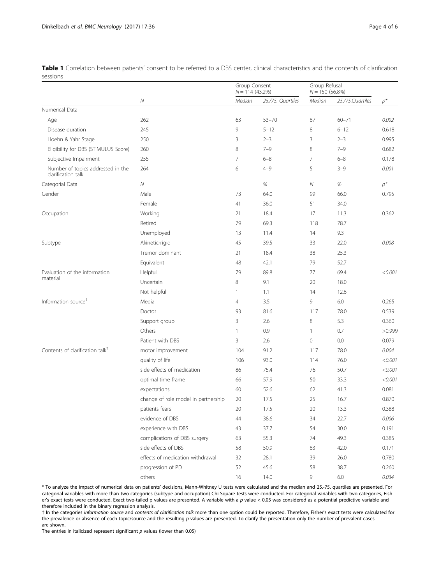<span id="page-3-0"></span>Table 1 Correlation between patients' consent to be referred to a DBS center, clinical characteristics and the contents of clarification sessions

|                                                         |                                     | Group Consent<br>$N = 114(43.2\%)$ |                   | Group Refusal<br>$N = 150(56.8\%)$ |                  |          |
|---------------------------------------------------------|-------------------------------------|------------------------------------|-------------------|------------------------------------|------------------|----------|
|                                                         | Ν                                   | Median                             | 25./75. Quartiles | Median                             | 25./75.Quartiles | $p^*$    |
| Numerical Data                                          |                                     |                                    |                   |                                    |                  |          |
| Age                                                     | 262                                 | 63                                 | $53 - 70$         | 67                                 | $60 - 71$        | 0.002    |
| Disease duration                                        | 245                                 | 9                                  | $5 - 12$          | 8                                  | $6 - 12$         | 0.618    |
| Hoehn & Yahr Stage                                      | 250                                 | 3                                  | $2 - 3$           | 3                                  | $2 - 3$          | 0.995    |
| Eligibility for DBS (STIMULUS Score)                    | 260                                 | 8                                  | $7 - 9$           | 8                                  | $7 - 9$          | 0.682    |
| Subjective Impairment                                   | 255                                 | 7                                  | $6 - 8$           | 7                                  | $6 - 8$          | 0.178    |
| Number of topics addressed in the<br>clarification talk | 264                                 | 6                                  | $4 - 9$           | 5                                  | $3 - 9$          | 0.001    |
| Categorial Data                                         | Ν                                   |                                    | $\%$              | Ν                                  | $\%$             | $p^\ast$ |
| Gender                                                  | Male                                | 73                                 | 64.0              | 99                                 | 66.0             | 0.795    |
|                                                         | Female                              | 41                                 | 36.0              | 51                                 | 34.0             |          |
| Occupation                                              | Working                             | 21                                 | 18.4              | 17                                 | 11.3             | 0.362    |
|                                                         | Retired                             | 79                                 | 69.3              | 118                                | 78.7             |          |
|                                                         | Unemployed                          | 13                                 | 11.4              | 14                                 | 9.3              |          |
| Subtype                                                 | Akinetic-rigid                      | 45                                 | 39.5              | 33                                 | 22.0             | 0.008    |
|                                                         | Tremor dominant                     | 21                                 | 18.4              | 38                                 | 25.3             |          |
|                                                         | Equivalent                          | 48                                 | 42.1              | 79                                 | 52.7             |          |
| Evaluation of the information<br>material               | Helpful                             | 79                                 | 89.8              | 77                                 | 69.4             | < 0.001  |
|                                                         | Uncertain                           | 8                                  | 9.1               | 20                                 | 18.0             |          |
|                                                         | Not helpful                         | 1                                  | 1.1               | 14                                 | 12.6             |          |
| Information source <sup>#</sup>                         | Media                               | $\overline{4}$                     | 3.5               | 9                                  | 6.0              | 0.265    |
|                                                         | Doctor                              | 93                                 | 81.6              | 117                                | 78.0             | 0.539    |
|                                                         | Support group                       | 3                                  | 2.6               | 8                                  | 5.3              | 0.360    |
|                                                         | Others                              | $\mathbf{1}$                       | 0.9               | $\mathbf{1}$                       | 0.7              | >0.999   |
|                                                         | Patient with DBS                    | 3                                  | 2.6               | $\mathbf 0$                        | 0.0              | 0.079    |
| Contents of clarification talk <sup>#</sup>             | motor improvement                   | 104                                | 91.2              | 117                                | 78.0             | 0.004    |
|                                                         | quality of life                     | 106                                | 93.0              | 114                                | 76.0             | < 0.001  |
|                                                         | side effects of medication          | 86                                 | 75.4              | 76                                 | 50.7             | < 0.001  |
|                                                         | optimal time frame                  | 66                                 | 57.9              | 50                                 | 33.3             | < 0.001  |
|                                                         | expectations                        | 60                                 | 52.6              | 62                                 | 41.3             | 0.081    |
|                                                         | change of role model in partnership | 20                                 | 17.5              | 25                                 | 16.7             | 0.870    |
|                                                         | patients fears                      | 20                                 | 17.5              | 20                                 | 13.3             | 0.388    |
|                                                         | evidence of DBS                     | 44                                 | 38.6              | 34                                 | 22.7             | 0.006    |
|                                                         | experience with DBS                 | 43                                 | 37.7              | 54                                 | 30.0             | 0.191    |
|                                                         | complications of DBS surgery        | 63                                 | 55.3              | 74                                 | 49.3             | 0.385    |
|                                                         | side effects of DBS                 | 58                                 | 50.9              | 63                                 | 42.0             | 0.171    |
|                                                         | effects of medication withdrawal    | 32                                 | 28.1              | 39                                 | 26.0             | 0.780    |
|                                                         | progression of PD                   | 52                                 | 45.6              | 58                                 | 38.7             | 0.260    |
|                                                         | others                              | 16                                 | 14.0              | 9                                  | $6.0\,$          | 0.034    |

\* To analyze the impact of numerical data on patients' decisions, Mann-Whitney U tests were calculated and the median and 25.-75. quartiles are presented. For categorial variables with more than two categories (subtype and occupation) Chi-Square tests were conducted. For categorial variables with two categories, Fisher's exact tests were conducted. Exact two-tailed p values are presented. A variable with a p value < 0.05 was considered as a potential predictive variable and therefore included in the binary regression analysis.

‡ In the categories information source and contents of clarification talk more than one option could be reported. Therefore, Fisher's exact tests were calculated for the prevalence or absence of each topic/source and the resulting p values are presented. To clarify the presentation only the number of prevalent cases are shown.

The entries in italicized represent significant  $p$  values (lower than 0.05)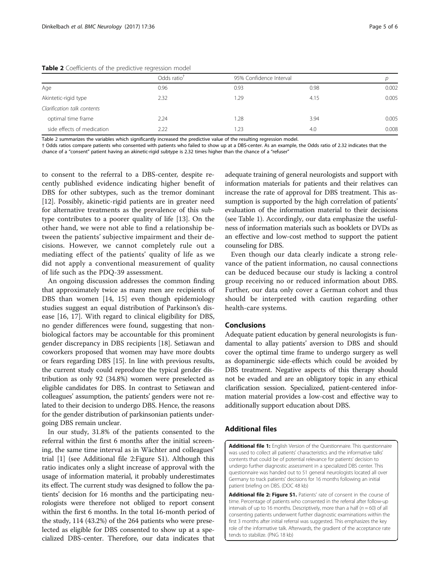<span id="page-4-0"></span>

|                             | Odds ratio $†$ | 95% Confidence Interval |      |       |  |  |  |  |
|-----------------------------|----------------|-------------------------|------|-------|--|--|--|--|
| Age                         | 0.96           | 0.93                    | 0.98 | 0.002 |  |  |  |  |
| Akintetic-rigid type        | 2.32           | 1.29                    | 4.15 | 0.005 |  |  |  |  |
| Clarification talk contents |                |                         |      |       |  |  |  |  |
| optimal time frame          | 2.24           | 1.28                    | 3.94 | 0.005 |  |  |  |  |
| side effects of medication  | 2.22           | 1.23                    | 4.0  | 0.008 |  |  |  |  |

Table 2 summarizes the variables which significantly increased the predictive value of the resulting regression model.

† Odds ratios compare patients who consented with patients who failed to show up at a DBS-center. As an example, the Odds ratio of 2.32 indicates that the chance of a "consent" patient having an akinetic-rigid subtype is 2.32 times higher than the chance of a "refuser

to consent to the referral to a DBS-center, despite recently published evidence indicating higher benefit of DBS for other subtypes, such as the tremor dominant [[12\]](#page-5-0). Possibly, akinetic-rigid patients are in greater need for alternative treatments as the prevalence of this subtype contributes to a poorer quality of life [[13\]](#page-5-0). On the other hand, we were not able to find a relationship between the patients' subjective impairment and their decisions. However, we cannot completely rule out a mediating effect of the patients' quality of life as we did not apply a conventional measurement of quality of life such as the PDQ-39 assessment.

An ongoing discussion addresses the common finding that approximately twice as many men are recipients of DBS than women [\[14, 15](#page-5-0)] even though epidemiology studies suggest an equal distribution of Parkinson's disease [[16](#page-5-0), [17](#page-5-0)]. With regard to clinical eligibility for DBS, no gender differences were found, suggesting that nonbiological factors may be accountable for this prominent gender discrepancy in DBS recipients [[18](#page-5-0)]. Setiawan and coworkers proposed that women may have more doubts or fears regarding DBS [\[15\]](#page-5-0). In line with previous results, the current study could reproduce the typical gender distribution as only 92 (34.8%) women were preselected as eligible candidates for DBS. In contrast to Setiawan and colleagues' assumption, the patients' genders were not related to their decision to undergo DBS. Hence, the reasons for the gender distribution of parkinsonian patients undergoing DBS remain unclear.

In our study, 31.8% of the patients consented to the referral within the first 6 months after the initial screening, the same time interval as in Wächter and colleagues' trial [\[1](#page-5-0)] (see Additional file 2:Figure S1). Although this ratio indicates only a slight increase of approval with the usage of information material, it probably underestimates its effect. The current study was designed to follow the patients' decision for 16 months and the participating neurologists were therefore not obliged to report consent within the first 6 months. In the total 16-month period of the study, 114 (43.2%) of the 264 patients who were preselected as eligible for DBS consented to show up at a specialized DBS-center. Therefore, our data indicates that

adequate training of general neurologists and support with information materials for patients and their relatives can increase the rate of approval for DBS treatment. This assumption is supported by the high correlation of patients' evaluation of the information material to their decisions (see Table [1](#page-3-0)). Accordingly, our data emphasize the usefulness of information materials such as booklets or DVDs as an effective and low-cost method to support the patient counseling for DBS.

Even though our data clearly indicate a strong relevance of the patient information, no causal connections can be deduced because our study is lacking a control group receiving no or reduced information about DBS. Further, our data only cover a German cohort and thus should be interpreted with caution regarding other health-care systems.

#### Conclusions

Adequate patient education by general neurologists is fundamental to allay patients' aversion to DBS and should cover the optimal time frame to undergo surgery as well as dopaminergic side-effects which could be avoided by DBS treatment. Negative aspects of this therapy should not be evaded and are an obligatory topic in any ethical clarification session. Specialized, patient-centered information material provides a low-cost and effective way to additionally support education about DBS.

### Additional files

[Additional file 1:](dx.doi.org/10.1186/s12883-017-0820-7) English Version of the Questionnaire. This questionnaire was used to collect all patients' characteristics and the informative talks' contents that could be of potential relevance for patients' decision to undergo further diagnostic assessment in a specialized DBS center. This questionnaire was handed out to 51 general neurologists located all over Germany to track patients' decisions for 16 months following an initial patient briefing on DBS. (DOC 48 kb)

[Additional file 2: Figure S1.](dx.doi.org/10.1186/s12883-017-0820-7) Patients' rate of consent in the course of time. Percentage of patients who consented in the referral after follow-up intervals of up to 16 months. Descriptively, more than a half ( $n = 60$ ) of all consenting patients underwent further diagnostic examinations within the first 3 months after initial referral was suggested. This emphasizes the key role of the informative talk. Afterwards, the gradient of the acceptance rate tends to stabilize. (PNG 18 kb)